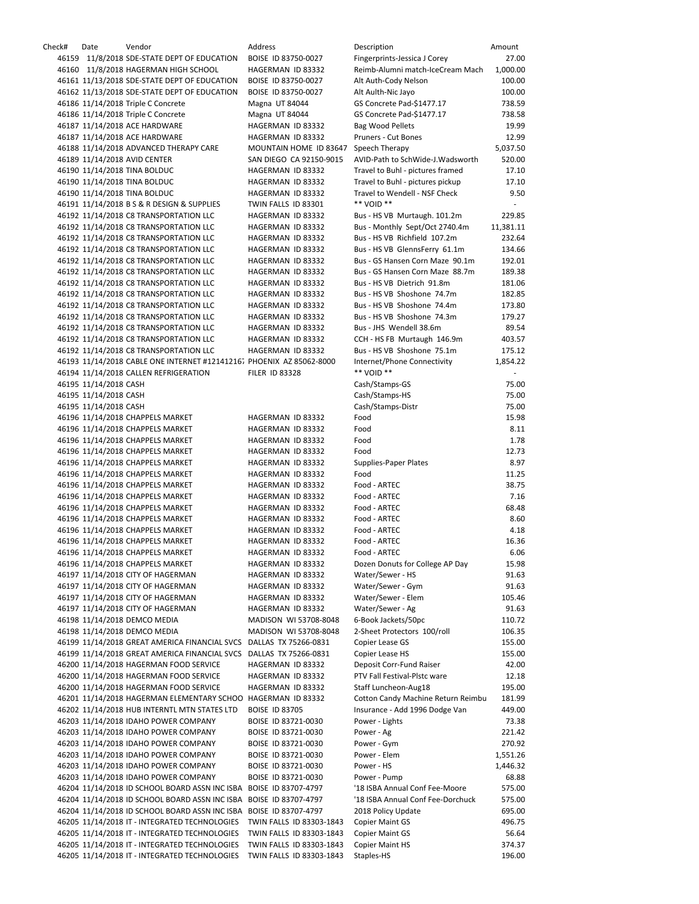| Check# | Date                  | Vendor                                                               | Address                  | Description                        | Amount    |
|--------|-----------------------|----------------------------------------------------------------------|--------------------------|------------------------------------|-----------|
|        |                       | 46159 11/8/2018 SDE-STATE DEPT OF EDUCATION                          | BOISE ID 83750-0027      | Fingerprints-Jessica J Corey       | 27.00     |
|        |                       | 46160 11/8/2018 HAGERMAN HIGH SCHOOL                                 | HAGERMAN ID 83332        | Reimb-Alumni match-IceCream Mach   | 1,000.00  |
|        |                       | 46161 11/13/2018 SDE-STATE DEPT OF EDUCATION                         | BOISE ID 83750-0027      | Alt Auth-Cody Nelson               | 100.00    |
|        |                       |                                                                      |                          |                                    |           |
|        |                       | 46162 11/13/2018 SDE-STATE DEPT OF EDUCATION                         | BOISE ID 83750-0027      | Alt Aulth-Nic Jayo                 | 100.00    |
|        |                       | 46186 11/14/2018 Triple C Concrete                                   | Magna UT 84044           | GS Concrete Pad-\$1477.17          | 738.59    |
|        |                       | 46186 11/14/2018 Triple C Concrete                                   | Magna UT 84044           | GS Concrete Pad-\$1477.17          | 738.58    |
|        |                       | 46187 11/14/2018 ACE HARDWARE                                        | HAGERMAN ID 83332        | <b>Bag Wood Pellets</b>            | 19.99     |
|        |                       | 46187 11/14/2018 ACE HARDWARE                                        | HAGERMAN ID 83332        | Pruners - Cut Bones                | 12.99     |
|        |                       | 46188 11/14/2018 ADVANCED THERAPY CARE                               | MOUNTAIN HOME ID 83647   | Speech Therapy                     | 5,037.50  |
|        |                       |                                                                      |                          |                                    |           |
|        |                       | 46189 11/14/2018 AVID CENTER                                         | SAN DIEGO CA 92150-9015  | AVID-Path to SchWide-J.Wadsworth   | 520.00    |
|        |                       | 46190 11/14/2018 TINA BOLDUC                                         | HAGERMAN ID 83332        | Travel to Buhl - pictures framed   | 17.10     |
|        |                       | 46190 11/14/2018 TINA BOLDUC                                         | HAGERMAN ID 83332        | Travel to Buhl - pictures pickup   | 17.10     |
|        |                       | 46190 11/14/2018 TINA BOLDUC                                         | HAGERMAN ID 83332        | Travel to Wendell - NSF Check      | 9.50      |
|        |                       | 46191 11/14/2018 B S & R DESIGN & SUPPLIES                           | TWIN FALLS ID 83301      | ** VOID **                         |           |
|        |                       | 46192 11/14/2018 C8 TRANSPORTATION LLC                               | HAGERMAN ID 83332        |                                    | 229.85    |
|        |                       |                                                                      |                          | Bus - HS VB Murtaugh. 101.2m       |           |
|        |                       | 46192 11/14/2018 C8 TRANSPORTATION LLC                               | HAGERMAN ID 83332        | Bus - Monthly Sept/Oct 2740.4m     | 11,381.11 |
|        |                       | 46192 11/14/2018 C8 TRANSPORTATION LLC                               | HAGERMAN ID 83332        | Bus - HS VB Richfield 107.2m       | 232.64    |
|        |                       | 46192 11/14/2018 C8 TRANSPORTATION LLC                               | HAGERMAN ID 83332        | Bus - HS VB GlennsFerry 61.1m      | 134.66    |
|        |                       | 46192 11/14/2018 C8 TRANSPORTATION LLC                               | HAGERMAN ID 83332        | Bus - GS Hansen Corn Maze 90.1m    | 192.01    |
|        |                       | 46192 11/14/2018 C8 TRANSPORTATION LLC                               | HAGERMAN ID 83332        | Bus - GS Hansen Corn Maze 88.7m    | 189.38    |
|        |                       |                                                                      |                          |                                    | 181.06    |
|        |                       | 46192 11/14/2018 C8 TRANSPORTATION LLC                               | HAGERMAN ID 83332        | Bus - HS VB Dietrich 91.8m         |           |
|        |                       | 46192 11/14/2018 C8 TRANSPORTATION LLC                               | HAGERMAN ID 83332        | Bus - HS VB Shoshone 74.7m         | 182.85    |
|        |                       | 46192 11/14/2018 C8 TRANSPORTATION LLC                               | HAGERMAN ID 83332        | Bus - HS VB Shoshone 74.4m         | 173.80    |
|        |                       | 46192 11/14/2018 C8 TRANSPORTATION LLC                               | HAGERMAN ID 83332        | Bus - HS VB Shoshone 74.3m         | 179.27    |
|        |                       | 46192 11/14/2018 C8 TRANSPORTATION LLC                               | HAGERMAN ID 83332        | Bus - JHS Wendell 38.6m            | 89.54     |
|        |                       | 46192 11/14/2018 C8 TRANSPORTATION LLC                               | HAGERMAN ID 83332        | CCH - HS FB Murtaugh 146.9m        | 403.57    |
|        |                       |                                                                      |                          |                                    |           |
|        |                       | 46192 11/14/2018 C8 TRANSPORTATION LLC                               | HAGERMAN ID 83332        | Bus - HS VB Shoshone 75.1m         | 175.12    |
|        |                       | 46193 11/14/2018 CABLE ONE INTERNET #12141216. PHOENIX AZ 85062-8000 |                          | Internet/Phone Connectivity        | 1,854.22  |
|        |                       | 46194 11/14/2018 CALLEN REFRIGERATION                                | <b>FILER ID 83328</b>    | ** VOID **                         | $\sim$    |
|        | 46195 11/14/2018 CASH |                                                                      |                          | Cash/Stamps-GS                     | 75.00     |
|        | 46195 11/14/2018 CASH |                                                                      |                          | Cash/Stamps-HS                     | 75.00     |
|        | 46195 11/14/2018 CASH |                                                                      |                          | Cash/Stamps-Distr                  | 75.00     |
|        |                       |                                                                      |                          |                                    |           |
|        |                       | 46196 11/14/2018 CHAPPELS MARKET                                     | HAGERMAN ID 83332        | Food                               | 15.98     |
|        |                       | 46196 11/14/2018 CHAPPELS MARKET                                     | HAGERMAN ID 83332        | Food                               | 8.11      |
|        |                       | 46196 11/14/2018 CHAPPELS MARKET                                     | HAGERMAN ID 83332        | Food                               | 1.78      |
|        |                       | 46196 11/14/2018 CHAPPELS MARKET                                     | HAGERMAN ID 83332        | Food                               | 12.73     |
|        |                       | 46196 11/14/2018 CHAPPELS MARKET                                     | HAGERMAN ID 83332        | <b>Supplies-Paper Plates</b>       | 8.97      |
|        |                       |                                                                      | HAGERMAN ID 83332        | Food                               |           |
|        |                       | 46196 11/14/2018 CHAPPELS MARKET                                     |                          |                                    | 11.25     |
|        |                       | 46196 11/14/2018 CHAPPELS MARKET                                     | HAGERMAN ID 83332        | Food - ARTEC                       | 38.75     |
|        |                       | 46196 11/14/2018 CHAPPELS MARKET                                     | HAGERMAN ID 83332        | Food - ARTEC                       | 7.16      |
|        |                       | 46196 11/14/2018 CHAPPELS MARKET                                     | HAGERMAN ID 83332        | Food - ARTEC                       | 68.48     |
|        |                       | 46196 11/14/2018 CHAPPELS MARKET                                     | HAGERMAN ID 83332        | Food - ARTEC                       | 8.60      |
|        |                       | 46196 11/14/2018 CHAPPELS MARKET                                     | HAGERMAN ID 83332        | Food - ARTEC                       | 4.18      |
|        |                       | 46196 11/14/2018 CHAPPELS MARKET                                     | HAGERMAN ID 83332        | Food - ARTEC                       | 16.36     |
|        |                       |                                                                      |                          |                                    |           |
|        |                       | 46196 11/14/2018 CHAPPELS MARKET                                     | HAGERMAN ID 83332        | Food - ARTEC                       | 6.06      |
|        |                       | 46196 11/14/2018 CHAPPELS MARKET                                     | HAGERMAN ID 83332        | Dozen Donuts for College AP Day    | 15.98     |
|        |                       | 46197 11/14/2018 CITY OF HAGERMAN                                    | HAGERMAN ID 83332        | Water/Sewer - HS                   | 91.63     |
|        |                       | 46197 11/14/2018 CITY OF HAGERMAN                                    | HAGERMAN ID 83332        | Water/Sewer - Gym                  | 91.63     |
|        |                       | 46197 11/14/2018 CITY OF HAGERMAN                                    | HAGERMAN ID 83332        | Water/Sewer - Elem                 | 105.46    |
|        |                       |                                                                      |                          |                                    |           |
|        |                       | 46197 11/14/2018 CITY OF HAGERMAN                                    | HAGERMAN ID 83332        | Water/Sewer - Ag                   | 91.63     |
|        |                       | 46198 11/14/2018 DEMCO MEDIA                                         | MADISON WI 53708-8048    | 6-Book Jackets/50pc                | 110.72    |
|        |                       | 46198 11/14/2018 DEMCO MEDIA                                         | MADISON WI 53708-8048    | 2-Sheet Protectors 100/roll        | 106.35    |
|        |                       | 46199 11/14/2018 GREAT AMERICA FINANCIAL SVCS                        | DALLAS TX 75266-0831     | Copier Lease GS                    | 155.00    |
|        |                       | 46199 11/14/2018 GREAT AMERICA FINANCIAL SVCS                        | DALLAS TX 75266-0831     | Copier Lease HS                    | 155.00    |
|        |                       | 46200 11/14/2018 HAGERMAN FOOD SERVICE                               | HAGERMAN ID 83332        | Deposit Corr-Fund Raiser           | 42.00     |
|        |                       |                                                                      |                          |                                    |           |
|        |                       | 46200 11/14/2018 HAGERMAN FOOD SERVICE                               | HAGERMAN ID 83332        | PTV Fall Festival-Plstc ware       | 12.18     |
|        |                       | 46200 11/14/2018 HAGERMAN FOOD SERVICE                               | HAGERMAN ID 83332        | Staff Luncheon-Aug18               | 195.00    |
|        |                       | 46201 11/14/2018 HAGERMAN ELEMENTARY SCHOO HAGERMAN ID 83332         |                          | Cotton Candy Machine Return Reimbu | 181.99    |
|        |                       | 46202 11/14/2018 HUB INTERNTL MTN STATES LTD                         | <b>BOISE ID 83705</b>    | Insurance - Add 1996 Dodge Van     | 449.00    |
|        |                       | 46203 11/14/2018 IDAHO POWER COMPANY                                 | BOISE ID 83721-0030      | Power - Lights                     | 73.38     |
|        |                       | 46203 11/14/2018 IDAHO POWER COMPANY                                 |                          | Power - Ag                         | 221.42    |
|        |                       |                                                                      | BOISE ID 83721-0030      |                                    |           |
|        |                       | 46203 11/14/2018 IDAHO POWER COMPANY                                 | BOISE ID 83721-0030      | Power - Gym                        | 270.92    |
|        |                       | 46203 11/14/2018 IDAHO POWER COMPANY                                 | BOISE ID 83721-0030      | Power - Elem                       | 1,551.26  |
|        |                       | 46203 11/14/2018 IDAHO POWER COMPANY                                 | BOISE ID 83721-0030      | Power - HS                         | 1,446.32  |
|        |                       | 46203 11/14/2018 IDAHO POWER COMPANY                                 | BOISE ID 83721-0030      | Power - Pump                       | 68.88     |
|        |                       |                                                                      |                          |                                    |           |
|        |                       | 46204 11/14/2018 ID SCHOOL BOARD ASSN INC ISBA BOISE ID 83707-4797   |                          | '18 ISBA Annual Conf Fee-Moore     | 575.00    |
|        |                       | 46204 11/14/2018 ID SCHOOL BOARD ASSN INC ISBA BOISE ID 83707-4797   |                          | '18 ISBA Annual Conf Fee-Dorchuck  | 575.00    |
|        |                       | 46204 11/14/2018 ID SCHOOL BOARD ASSN INC ISBA BOISE ID 83707-4797   |                          | 2018 Policy Update                 | 695.00    |
|        |                       | 46205 11/14/2018 IT - INTEGRATED TECHNOLOGIES                        | TWIN FALLS ID 83303-1843 | Copier Maint GS                    | 496.75    |
|        |                       | 46205 11/14/2018 IT - INTEGRATED TECHNOLOGIES                        | TWIN FALLS ID 83303-1843 | Copier Maint GS                    | 56.64     |
|        |                       | 46205 11/14/2018 IT - INTEGRATED TECHNOLOGIES                        | TWIN FALLS ID 83303-1843 | <b>Copier Maint HS</b>             | 374.37    |
|        |                       |                                                                      |                          |                                    |           |
|        |                       | 46205 11/14/2018 IT - INTEGRATED TECHNOLOGIES                        | TWIN FALLS ID 83303-1843 | Staples-HS                         | 196.00    |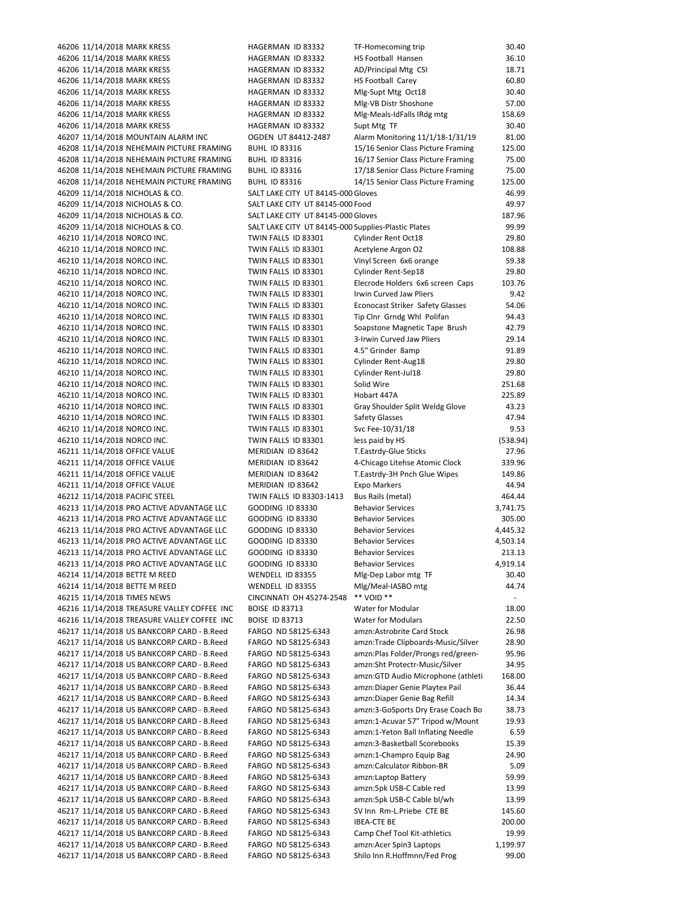|                                                                                          | HAGERMAN ID 83332                                   | HS Football Hansen                 | 36.10                    |
|------------------------------------------------------------------------------------------|-----------------------------------------------------|------------------------------------|--------------------------|
| 46206 11/14/2018 MARK KRESS<br>46206 11/14/2018 MARK KRESS                               | HAGERMAN ID 83332                                   | AD/Principal Mtg CSI               | 18.71                    |
|                                                                                          |                                                     |                                    |                          |
| 46206 11/14/2018 MARK KRESS                                                              | HAGERMAN ID 83332                                   | HS Football Carey                  | 60.80                    |
| 46206 11/14/2018 MARK KRESS                                                              | HAGERMAN ID 83332                                   | Mlg-Supt Mtg Oct18                 | 30.40                    |
| 46206 11/14/2018 MARK KRESS                                                              | HAGERMAN ID 83332                                   | Mlg-VB Distr Shoshone              | 57.00                    |
| 46206 11/14/2018 MARK KRESS                                                              | HAGERMAN ID 83332                                   | Mlg-Meals-IdFalls IRdg mtg         | 158.69                   |
| 46206 11/14/2018 MARK KRESS                                                              | HAGERMAN ID 83332                                   | Supt Mtg TF                        | 30.40                    |
| 46207 11/14/2018 MOUNTAIN ALARM INC                                                      | OGDEN UT 84412-2487                                 | Alarm Monitoring 11/1/18-1/31/19   | 81.00                    |
| 46208 11/14/2018 NEHEMAIN PICTURE FRAMING                                                | <b>BUHL ID 83316</b>                                | 15/16 Senior Class Picture Framing | 125.00                   |
| 46208 11/14/2018 NEHEMAIN PICTURE FRAMING                                                | <b>BUHL ID 83316</b>                                | 16/17 Senior Class Picture Framing | 75.00                    |
| 46208 11/14/2018 NEHEMAIN PICTURE FRAMING                                                | <b>BUHL ID 83316</b>                                | 17/18 Senior Class Picture Framing | 75.00                    |
|                                                                                          |                                                     |                                    |                          |
| 46208 11/14/2018 NEHEMAIN PICTURE FRAMING                                                | <b>BUHL ID 83316</b>                                | 14/15 Senior Class Picture Framing | 125.00                   |
| 46209 11/14/2018 NICHOLAS & CO.                                                          | SALT LAKE CITY UT 84145-000 Gloves                  |                                    | 46.99                    |
| 46209 11/14/2018 NICHOLAS & CO.                                                          | SALT LAKE CITY UT 84145-000 Food                    |                                    | 49.97                    |
| 46209 11/14/2018 NICHOLAS & CO.                                                          | SALT LAKE CITY UT 84145-000 Gloves                  |                                    | 187.96                   |
| 46209 11/14/2018 NICHOLAS & CO.                                                          | SALT LAKE CITY UT 84145-000 Supplies-Plastic Plates |                                    | 99.99                    |
| 46210 11/14/2018 NORCO INC.                                                              | TWIN FALLS ID 83301                                 | Cylinder Rent Oct18                | 29.80                    |
| 46210 11/14/2018 NORCO INC.                                                              | TWIN FALLS ID 83301                                 | Acetylene Argon O2                 | 108.88                   |
| 46210 11/14/2018 NORCO INC.                                                              | TWIN FALLS ID 83301                                 | Vinyl Screen 6x6 orange            | 59.38                    |
| 46210 11/14/2018 NORCO INC.                                                              | TWIN FALLS ID 83301                                 | Cylinder Rent-Sep18                | 29.80                    |
|                                                                                          |                                                     |                                    |                          |
| 46210 11/14/2018 NORCO INC.                                                              | TWIN FALLS ID 83301                                 | Elecrode Holders 6x6 screen Caps   | 103.76                   |
| 46210 11/14/2018 NORCO INC.                                                              | TWIN FALLS ID 83301                                 | Irwin Curved Jaw Pliers            | 9.42                     |
| 46210 11/14/2018 NORCO INC.                                                              | TWIN FALLS ID 83301                                 | Econocast Striker Safety Glasses   | 54.06                    |
| 46210 11/14/2018 NORCO INC.                                                              | TWIN FALLS ID 83301                                 | Tip Clnr Grndg Whl Polifan         | 94.43                    |
| 46210 11/14/2018 NORCO INC.                                                              | TWIN FALLS ID 83301                                 | Soapstone Magnetic Tape Brush      | 42.79                    |
| 46210 11/14/2018 NORCO INC.                                                              | TWIN FALLS ID 83301                                 | 3-Irwin Curved Jaw Pliers          | 29.14                    |
| 46210 11/14/2018 NORCO INC.                                                              | TWIN FALLS ID 83301                                 | 4.5" Grinder 8amp                  | 91.89                    |
| 46210 11/14/2018 NORCO INC.                                                              | TWIN FALLS ID 83301                                 | Cylinder Rent-Aug18                | 29.80                    |
| 46210 11/14/2018 NORCO INC.                                                              | TWIN FALLS ID 83301                                 | Cylinder Rent-Jul18                | 29.80                    |
|                                                                                          |                                                     |                                    |                          |
| 46210 11/14/2018 NORCO INC.                                                              | TWIN FALLS ID 83301                                 | Solid Wire                         | 251.68                   |
| 46210 11/14/2018 NORCO INC.                                                              | TWIN FALLS ID 83301                                 | Hobart 447A                        | 225.89                   |
| 46210 11/14/2018 NORCO INC.                                                              | TWIN FALLS ID 83301                                 | Gray Shoulder Split Weldg Glove    | 43.23                    |
| 46210 11/14/2018 NORCO INC.                                                              | TWIN FALLS ID 83301                                 | <b>Safety Glasses</b>              | 47.94                    |
| 46210 11/14/2018 NORCO INC.                                                              | TWIN FALLS ID 83301                                 | Svc Fee-10/31/18                   | 9.53                     |
| 46210 11/14/2018 NORCO INC.                                                              | TWIN FALLS ID 83301                                 | less paid by HS                    | (538.94)                 |
| 46211 11/14/2018 OFFICE VALUE                                                            | MERIDIAN ID 83642                                   | T.Eastrdy-Glue Sticks              | 27.96                    |
| 46211 11/14/2018 OFFICE VALUE                                                            | MERIDIAN ID 83642                                   | 4-Chicago Litehse Atomic Clock     | 339.96                   |
| 46211 11/14/2018 OFFICE VALUE                                                            | MERIDIAN ID 83642                                   | T.Eastrdy-3H Pnch Glue Wipes       | 149.86                   |
|                                                                                          |                                                     |                                    |                          |
|                                                                                          |                                                     |                                    | 44.94                    |
| 46211 11/14/2018 OFFICE VALUE                                                            | MERIDIAN ID 83642                                   | Expo Markers                       |                          |
| 46212 11/14/2018 PACIFIC STEEL                                                           | TWIN FALLS ID 83303-1413                            | Bus Rails (metal)                  | 464.44                   |
| 46213 11/14/2018 PRO ACTIVE ADVANTAGE LLC                                                | <b>GOODING ID 83330</b>                             | <b>Behavior Services</b>           | 3,741.75                 |
| 46213 11/14/2018 PRO ACTIVE ADVANTAGE LLC                                                | <b>GOODING ID 83330</b>                             | <b>Behavior Services</b>           | 305.00                   |
| 46213 11/14/2018 PRO ACTIVE ADVANTAGE LLC                                                | GOODING ID 83330                                    | <b>Behavior Services</b>           | 4,445.32                 |
| 46213 11/14/2018 PRO ACTIVE ADVANTAGE LLC                                                | GOODING ID 83330                                    | <b>Behavior Services</b>           | 4,503.14                 |
| 46213 11/14/2018 PRO ACTIVE ADVANTAGE LLC                                                | <b>GOODING ID 83330</b>                             | <b>Behavior Services</b>           | 213.13                   |
| 46213 11/14/2018 PRO ACTIVE ADVANTAGE LLC                                                | GOODING ID 83330                                    | <b>Behavior Services</b>           | 4,919.14                 |
| 46214 11/14/2018 BETTE M REED                                                            | WENDELL ID 83355                                    | Mlg-Dep Labor mtg TF               | 30.40                    |
| 46214 11/14/2018 BETTE M REED                                                            | WENDELL ID 83355                                    | Mlg/Meal-IASBO mtg                 | 44.74                    |
| 46215 11/14/2018 TIMES NEWS                                                              | CINCINNATI OH 45274-2548                            | ** VOID **                         | $\overline{\phantom{a}}$ |
| 46216 11/14/2018 TREASURE VALLEY COFFEE INC                                              | <b>BOISE ID 83713</b>                               | Water for Modular                  | 18.00                    |
|                                                                                          |                                                     |                                    |                          |
| 46216 11/14/2018 TREASURE VALLEY COFFEE INC                                              | <b>BOISE ID 83713</b>                               | <b>Water for Modulars</b>          | 22.50                    |
| 46217 11/14/2018 US BANKCORP CARD - B.Reed                                               | FARGO ND 58125-6343                                 | amzn:Astrobrite Card Stock         | 26.98                    |
| 46217 11/14/2018 US BANKCORP CARD - B.Reed                                               | FARGO ND 58125-6343                                 | amzn:Trade Clipboards-Music/Silver | 28.90                    |
| 46217 11/14/2018 US BANKCORP CARD - B.Reed                                               | FARGO ND 58125-6343                                 | amzn:Plas Folder/Prongs red/green- | 95.96                    |
| 46217 11/14/2018 US BANKCORP CARD - B.Reed                                               | FARGO ND 58125-6343                                 | amzn:Sht Protectr-Music/Silver     | 34.95                    |
| 46217 11/14/2018 US BANKCORP CARD - B.Reed                                               | FARGO ND 58125-6343                                 | amzn:GTD Audio Microphone (athleti | 168.00                   |
| 46217 11/14/2018 US BANKCORP CARD - B.Reed                                               | FARGO ND 58125-6343                                 | amzn:Diaper Genie Playtex Pail     | 36.44                    |
| 46217 11/14/2018 US BANKCORP CARD - B.Reed                                               | FARGO ND 58125-6343                                 | amzn:Diaper Genie Bag Refill       | 14.34                    |
|                                                                                          | FARGO ND 58125-6343                                 | amzn:3-GoSports Dry Erase Coach Bo | 38.73                    |
| 46217 11/14/2018 US BANKCORP CARD - B.Reed<br>46217 11/14/2018 US BANKCORP CARD - B.Reed | FARGO ND 58125-6343                                 | amzn:1-Acuvar 57" Tripod w/Mount   | 19.93                    |
|                                                                                          |                                                     |                                    |                          |
| 46217 11/14/2018 US BANKCORP CARD - B.Reed                                               | FARGO ND 58125-6343                                 | amzn:1-Yeton Ball Inflating Needle | 6.59                     |
| 46217 11/14/2018 US BANKCORP CARD - B.Reed                                               | FARGO ND 58125-6343                                 | amzn:3-Basketball Scorebooks       | 15.39                    |
| 46217 11/14/2018 US BANKCORP CARD - B.Reed                                               | FARGO ND 58125-6343                                 | amzn:1-Champro Equip Bag           | 24.90                    |
| 46217 11/14/2018 US BANKCORP CARD - B.Reed                                               | FARGO ND 58125-6343                                 | amzn:Calculator Ribbon-BR          | 5.09                     |
| 46217 11/14/2018 US BANKCORP CARD - B.Reed                                               | FARGO ND 58125-6343                                 | amzn:Laptop Battery                | 59.99                    |
| 46217 11/14/2018 US BANKCORP CARD - B.Reed                                               | FARGO ND 58125-6343                                 | amzn:5pk USB-C Cable red           | 13.99                    |
| 46217 11/14/2018 US BANKCORP CARD - B.Reed                                               | FARGO ND 58125-6343                                 | amzn:5pk USB-C Cable bl/wh         | 13.99                    |
| 46217 11/14/2018 US BANKCORP CARD - B.Reed                                               | FARGO ND 58125-6343                                 | SV Inn Rm-L.Priebe CTE BE          | 145.60                   |
| 46217 11/14/2018 US BANKCORP CARD - B.Reed                                               | FARGO ND 58125-6343                                 | <b>IBEA-CTE BE</b>                 | 200.00                   |
| 46217 11/14/2018 US BANKCORP CARD - B.Reed                                               | FARGO ND 58125-6343                                 | Camp Chef Tool Kit-athletics       | 19.99                    |
| 46217 11/14/2018 US BANKCORP CARD - B.Reed                                               | FARGO ND 58125-6343                                 | amzn:Acer Spin3 Laptops            | 1,199.97                 |

| 46206 11/14/2018 MARK KRESS                 | HAGERMAN ID 83332                                   | TF-Homecoming trip                 | 30.40                    |
|---------------------------------------------|-----------------------------------------------------|------------------------------------|--------------------------|
| 46206 11/14/2018 MARK KRESS                 | HAGERMAN ID 83332                                   | HS Football Hansen                 | 36.10                    |
| 46206 11/14/2018 MARK KRESS                 | HAGERMAN ID 83332                                   | AD/Principal Mtg CSI               | 18.71                    |
| 46206 11/14/2018 MARK KRESS                 | HAGERMAN ID 83332                                   | HS Football Carey                  | 60.80                    |
| 46206 11/14/2018 MARK KRESS                 | HAGERMAN ID 83332                                   | Mlg-Supt Mtg Oct18                 | 30.40                    |
| 46206 11/14/2018 MARK KRESS                 | HAGERMAN ID 83332                                   | Mlg-VB Distr Shoshone              | 57.00                    |
| 46206 11/14/2018 MARK KRESS                 | HAGERMAN ID 83332                                   | Mlg-Meals-IdFalls IRdg mtg         | 158.69                   |
| 46206 11/14/2018 MARK KRESS                 | HAGERMAN ID 83332                                   | Supt Mtg TF                        | 30.40                    |
| 46207 11/14/2018 MOUNTAIN ALARM INC         | OGDEN UT 84412-2487                                 | Alarm Monitoring 11/1/18-1/31/19   | 81.00                    |
| 46208 11/14/2018 NEHEMAIN PICTURE FRAMING   | <b>BUHL ID 83316</b>                                | 15/16 Senior Class Picture Framing | 125.00                   |
| 46208 11/14/2018 NEHEMAIN PICTURE FRAMING   | <b>BUHL ID 83316</b>                                | 16/17 Senior Class Picture Framing | 75.00                    |
| 46208 11/14/2018 NEHEMAIN PICTURE FRAMING   | <b>BUHL ID 83316</b>                                | 17/18 Senior Class Picture Framing | 75.00                    |
| 46208 11/14/2018 NEHEMAIN PICTURE FRAMING   | <b>BUHL ID 83316</b>                                | 14/15 Senior Class Picture Framing | 125.00                   |
| 46209 11/14/2018 NICHOLAS & CO.             | SALT LAKE CITY UT 84145-000 Gloves                  |                                    | 46.99                    |
| 46209 11/14/2018 NICHOLAS & CO.             | SALT LAKE CITY UT 84145-000 Food                    |                                    | 49.97                    |
|                                             | SALT LAKE CITY UT 84145-000 Gloves                  |                                    | 187.96                   |
| 46209 11/14/2018 NICHOLAS & CO.             |                                                     |                                    |                          |
| 46209 11/14/2018 NICHOLAS & CO.             | SALT LAKE CITY UT 84145-000 Supplies-Plastic Plates |                                    | 99.99                    |
| 46210 11/14/2018 NORCO INC.                 | TWIN FALLS ID 83301                                 | Cylinder Rent Oct18                | 29.80                    |
| 46210 11/14/2018 NORCO INC.                 | TWIN FALLS ID 83301                                 | Acetylene Argon O2                 | 108.88                   |
| 46210 11/14/2018 NORCO INC.                 | TWIN FALLS ID 83301                                 | Vinyl Screen 6x6 orange            | 59.38                    |
| 46210 11/14/2018 NORCO INC.                 | TWIN FALLS ID 83301                                 | Cylinder Rent-Sep18                | 29.80                    |
| 46210 11/14/2018 NORCO INC.                 | TWIN FALLS ID 83301                                 | Elecrode Holders 6x6 screen Caps   | 103.76                   |
| 46210 11/14/2018 NORCO INC.                 | TWIN FALLS ID 83301                                 | <b>Irwin Curved Jaw Pliers</b>     | 9.42                     |
| 46210 11/14/2018 NORCO INC.                 | TWIN FALLS ID 83301                                 | Econocast Striker Safety Glasses   | 54.06                    |
| 46210 11/14/2018 NORCO INC.                 | TWIN FALLS ID 83301                                 | Tip Clnr Grndg Whl Polifan         | 94.43                    |
| 46210 11/14/2018 NORCO INC.                 | TWIN FALLS ID 83301                                 | Soapstone Magnetic Tape Brush      | 42.79                    |
| 46210 11/14/2018 NORCO INC.                 | TWIN FALLS ID 83301                                 | 3-Irwin Curved Jaw Pliers          | 29.14                    |
| 46210 11/14/2018 NORCO INC.                 | TWIN FALLS ID 83301                                 | 4.5" Grinder 8amp                  | 91.89                    |
| 46210 11/14/2018 NORCO INC.                 | TWIN FALLS ID 83301                                 | Cylinder Rent-Aug18                | 29.80                    |
| 46210 11/14/2018 NORCO INC.                 | TWIN FALLS ID 83301                                 | Cylinder Rent-Jul18                | 29.80                    |
| 46210 11/14/2018 NORCO INC.                 | TWIN FALLS ID 83301                                 | Solid Wire                         | 251.68                   |
| 46210 11/14/2018 NORCO INC.                 | TWIN FALLS ID 83301                                 | Hobart 447A                        | 225.89                   |
| 46210 11/14/2018 NORCO INC.                 | TWIN FALLS ID 83301                                 | Gray Shoulder Split Weldg Glove    | 43.23                    |
| 46210 11/14/2018 NORCO INC.                 | TWIN FALLS ID 83301                                 | Safety Glasses                     | 47.94                    |
| 46210 11/14/2018 NORCO INC.                 | TWIN FALLS ID 83301                                 | Svc Fee-10/31/18                   | 9.53                     |
| 46210 11/14/2018 NORCO INC.                 | TWIN FALLS ID 83301                                 | less paid by HS                    | (538.94)                 |
| 46211 11/14/2018 OFFICE VALUE               | MERIDIAN ID 83642                                   | T.Eastrdy-Glue Sticks              | 27.96                    |
| 46211 11/14/2018 OFFICE VALUE               | MERIDIAN ID 83642                                   | 4-Chicago Litehse Atomic Clock     | 339.96                   |
| 46211 11/14/2018 OFFICE VALUE               | MERIDIAN ID 83642                                   | T.Eastrdy-3H Pnch Glue Wipes       | 149.86                   |
| 46211 11/14/2018 OFFICE VALUE               | MERIDIAN ID 83642                                   | Expo Markers                       | 44.94                    |
| 46212 11/14/2018 PACIFIC STEEL              | TWIN FALLS ID 83303-1413                            | Bus Rails (metal)                  | 464.44                   |
| 46213 11/14/2018 PRO ACTIVE ADVANTAGE LLC   | GOODING ID 83330                                    | <b>Behavior Services</b>           | 3,741.75                 |
| 46213 11/14/2018 PRO ACTIVE ADVANTAGE LLC   | GOODING ID 83330                                    | <b>Behavior Services</b>           | 305.00                   |
|                                             | <b>GOODING ID 83330</b>                             | <b>Behavior Services</b>           | 4,445.32                 |
| 46213 11/14/2018 PRO ACTIVE ADVANTAGE LLC   |                                                     |                                    |                          |
| 46213 11/14/2018 PRO ACTIVE ADVANTAGE LLC   | GOODING ID 83330                                    | <b>Behavior Services</b>           | 4,503.14                 |
| 46213 11/14/2018 PRO ACTIVE ADVANTAGE LLC   | <b>GOODING ID 83330</b>                             | <b>Behavior Services</b>           | 213.13                   |
| 46213 11/14/2018 PRO ACTIVE ADVANTAGE LLC   | GOODING ID 83330                                    | <b>Behavior Services</b>           | 4,919.14                 |
| 46214 11/14/2018 BETTE M REED               | WENDELL ID 83355                                    | Mlg-Dep Labor mtg TF               | 30.40                    |
| 46214 11/14/2018 BETTE M REED               | WENDELL ID 83355                                    | Mlg/Meal-IASBO mtg                 | 44.74                    |
| 46215 11/14/2018 TIMES NEWS                 | CINCINNATI OH 45274-2548                            | ** VOID **                         | $\overline{\phantom{a}}$ |
| 46216 11/14/2018 TREASURE VALLEY COFFEE INC | <b>BOISE ID 83713</b>                               | Water for Modular                  | 18.00                    |
| 46216 11/14/2018 TREASURE VALLEY COFFEE INC | <b>BOISE ID 83713</b>                               | <b>Water for Modulars</b>          | 22.50                    |
| 46217 11/14/2018 US BANKCORP CARD - B.Reed  | FARGO ND 58125-6343                                 | amzn:Astrobrite Card Stock         | 26.98                    |
| 46217 11/14/2018 US BANKCORP CARD - B.Reed  | FARGO ND 58125-6343                                 | amzn:Trade Clipboards-Music/Silver | 28.90                    |
| 46217 11/14/2018 US BANKCORP CARD - B.Reed  | FARGO ND 58125-6343                                 | amzn:Plas Folder/Prongs red/green- | 95.96                    |
| 46217 11/14/2018 US BANKCORP CARD - B.Reed  | FARGO ND 58125-6343                                 | amzn:Sht Protectr-Music/Silver     | 34.95                    |
| 46217 11/14/2018 US BANKCORP CARD - B.Reed  | FARGO ND 58125-6343                                 | amzn:GTD Audio Microphone (athleti | 168.00                   |
| 46217 11/14/2018 US BANKCORP CARD - B.Reed  | FARGO ND 58125-6343                                 | amzn:Diaper Genie Playtex Pail     | 36.44                    |
| 46217 11/14/2018 US BANKCORP CARD - B.Reed  | FARGO ND 58125-6343                                 | amzn:Diaper Genie Bag Refill       | 14.34                    |
| 46217 11/14/2018 US BANKCORP CARD - B.Reed  | FARGO ND 58125-6343                                 | amzn:3-GoSports Dry Erase Coach Bo | 38.73                    |
| 46217 11/14/2018 US BANKCORP CARD - B.Reed  | FARGO ND 58125-6343                                 | amzn:1-Acuvar 57" Tripod w/Mount   | 19.93                    |
| 46217 11/14/2018 US BANKCORP CARD - B.Reed  | FARGO ND 58125-6343                                 | amzn:1-Yeton Ball Inflating Needle | 6.59                     |
| 46217 11/14/2018 US BANKCORP CARD - B.Reed  | FARGO ND 58125-6343                                 | amzn:3-Basketball Scorebooks       | 15.39                    |
| 46217 11/14/2018 US BANKCORP CARD - B.Reed  | FARGO ND 58125-6343                                 | amzn:1-Champro Equip Bag           | 24.90                    |
| 46217 11/14/2018 US BANKCORP CARD - B.Reed  | FARGO ND 58125-6343                                 | amzn:Calculator Ribbon-BR          | 5.09                     |
| 46217 11/14/2018 US BANKCORP CARD - B.Reed  | FARGO ND 58125-6343                                 | amzn:Laptop Battery                | 59.99                    |
| 46217 11/14/2018 US BANKCORP CARD - B.Reed  | FARGO ND 58125-6343                                 | amzn:5pk USB-C Cable red           | 13.99                    |
| 46217 11/14/2018 US BANKCORP CARD - B.Reed  | FARGO ND 58125-6343                                 | amzn:5pk USB-C Cable bl/wh         | 13.99                    |
| 46217 11/14/2018 US BANKCORP CARD - B.Reed  | FARGO ND 58125-6343                                 | SV Inn Rm-L.Priebe CTE BE          | 145.60                   |
| 46217 11/14/2018 US BANKCORP CARD - B.Reed  | FARGO ND 58125-6343                                 | <b>IBEA-CTE BE</b>                 | 200.00                   |
| 46217 11/14/2018 US BANKCORP CARD - B.Reed  | FARGO ND 58125-6343                                 | Camp Chef Tool Kit-athletics       | 19.99                    |
| 46217 11/14/2018 US BANKCORP CARD - B.Reed  | FARGO ND 58125-6343                                 | amzn:Acer Spin3 Laptops            | 1,199.97                 |
| 46217 11/14/2018 US BANKCORP CARD - B.Reed  | FARGO ND 58125-6343                                 | Shilo Inn R.Hoffmnn/Fed Prog       | 99.00                    |
|                                             |                                                     |                                    |                          |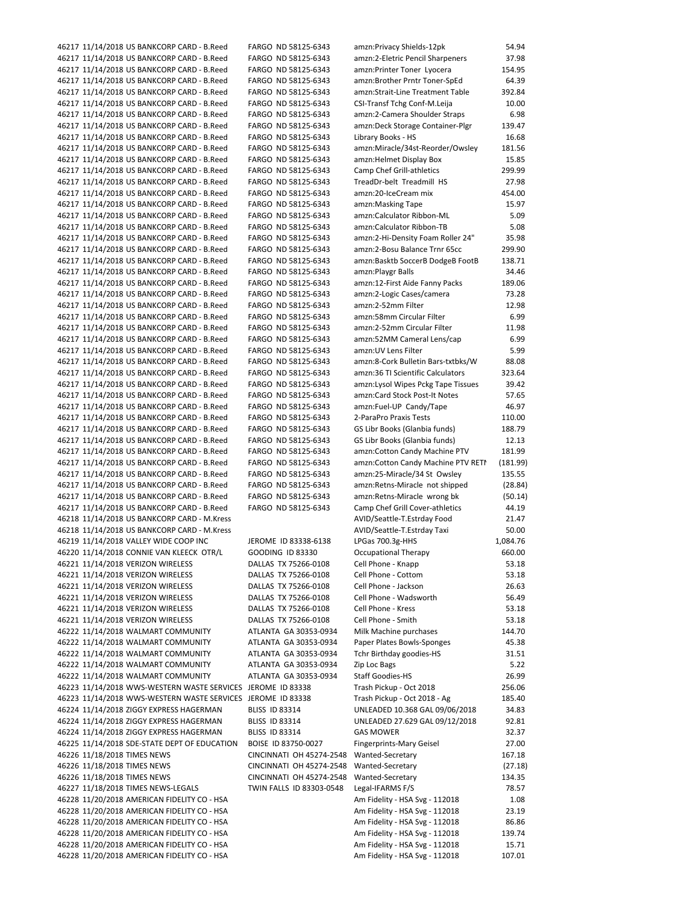46217 11/14/2018 US BANKCORP CARD ‐ B.Reed FARGO ND 58125‐6343 amzn:Privacy Shields‐12pk 54.94 46217 11/14/2018 US BANKCORP CARD ‐ B.Reed FARGO ND 58125‐6343 amzn:2‐Eletric Pencil Sharpeners 37.98 46217 11/14/2018 US BANKCORP CARD ‐ B.Reed FARGO ND 58125‐6343 amzn:Printer Toner Lyocera 154.95 46217 11/14/2018 US BANKCORP CARD ‐ B.Reed FARGO ND 58125‐6343 amzn:Brother Prntr Toner‐SpEd 64.39 46217 11/14/2018 US BANKCORP CARD ‐ B.Reed FARGO ND 58125‐6343 amzn:Strait‐Line Treatment Table 392.84 46217 11/14/2018 US BANKCORP CARD ‐ B.Reed FARGO ND 58125‐6343 CSI‐Transf Tchg Conf‐M.Leija 10.00 46217 11/14/2018 US BANKCORP CARD ‐ B.Reed FARGO ND 58125‐6343 amzn:2‐Camera Shoulder Straps 6.98 46217 11/14/2018 US BANKCORP CARD ‐ B.Reed FARGO ND 58125‐6343 amzn:Deck Storage Container‐Plgr 139.47 46217 11/14/2018 US BANKCORP CARD ‐ B.Reed FARGO ND 58125‐6343 Library Books ‐ HS 16.68 46217 11/14/2018 US BANKCORP CARD ‐ B.Reed FARGO ND 58125‐6343 amzn:Miracle/34st‐Reorder/Owsley 181.56 46217 11/14/2018 US BANKCORP CARD ‐ B.Reed FARGO ND 58125‐6343 amzn:Helmet Display Box 15.85 46217 11/14/2018 US BANKCORP CARD ‐ B.Reed FARGO ND 58125‐6343 Camp Chef Grill‐athletics 299.99 46217 11/14/2018 US BANKCORP CARD ‐ B.Reed FARGO ND 58125‐6343 TreadDr‐belt Treadmill HS 27.98 46217 11/14/2018 US BANKCORP CARD ‐ B.Reed FARGO ND 58125‐6343 amzn:20‐IceCream mix 454.00 46217 11/14/2018 US BANKCORP CARD ‐ B.Reed FARGO ND 58125‐6343 amzn:Masking Tape 15.97 46217 11/14/2018 US BANKCORP CARD ‐ B.Reed FARGO ND 58125‐6343 amzn:Calculator Ribbon‐ML 5.09 46217 11/14/2018 US BANKCORP CARD ‐ B.Reed FARGO ND 58125‐6343 amzn:Calculator Ribbon‐TB 5.08 46217 11/14/2018 US BANKCORP CARD ‐ B.Reed FARGO ND 58125‐6343 amzn:2‐Hi‐Density Foam Roller 24" 35.98 46217 11/14/2018 US BANKCORP CARD ‐ B.Reed FARGO ND 58125‐6343 amzn:2‐Bosu Balance Trnr 65cc 299.90 46217 11/14/2018 US BANKCORP CARD ‐ B.Reed FARGO ND 58125‐6343 amzn:Basktb SoccerB DodgeB FootB 138.71 46217 11/14/2018 US BANKCORP CARD ‐ B.Reed FARGO ND 58125‐6343 amzn:Playgr Balls 34.46 46217 11/14/2018 US BANKCORP CARD ‐ B.Reed FARGO ND 58125‐6343 amzn:12‐First Aide Fanny Packs 189.06 46217 11/14/2018 US BANKCORP CARD ‐ B.Reed FARGO ND 58125‐6343 amzn:2‐Logic Cases/camera 73.28 46217 11/14/2018 US BANKCORP CARD ‐ B.Reed FARGO ND 58125‐6343 amzn:2‐52mm Filter 12.98 46217 11/14/2018 US BANKCORP CARD ‐ B.Reed FARGO ND 58125‐6343 amzn:58mm Circular Filter 6.99 46217 11/14/2018 US BANKCORP CARD ‐ B.Reed FARGO ND 58125‐6343 amzn:2‐52mm Circular Filter 11.98 46217 11/14/2018 US BANKCORP CARD ‐ B.Reed FARGO ND 58125‐6343 amzn:52MM Cameral Lens/cap 6.99 46217 11/14/2018 US BANKCORP CARD ‐ B.Reed FARGO ND 58125‐6343 amzn:UV Lens Filter 5.99 46217 11/14/2018 US BANKCORP CARD ‐ B.Reed FARGO ND 58125‐6343 amzn:8‐Cork Bulletin Bars‐txtbks/W 88.08 46217 11/14/2018 US BANKCORP CARD ‐ B.Reed FARGO ND 58125‐6343 amzn:36 TI Scientific Calculators 323.64 46217 11/14/2018 US BANKCORP CARD ‐ B.Reed FARGO ND 58125‐6343 amzn:Lysol Wipes Pckg Tape Tissues 39.42 46217 11/14/2018 US BANKCORP CARD ‐ B.Reed FARGO ND 58125‐6343 amzn:Card Stock Post‐It Notes 57.65 46217 11/14/2018 US BANKCORP CARD ‐ B.Reed FARGO ND 58125‐6343 amzn:Fuel‐UP Candy/Tape 46.97 46217 11/14/2018 US BANKCORP CARD ‐ B.Reed FARGO ND 58125‐6343 2‐ParaPro Praxis Tests 110.00 46217 11/14/2018 US BANKCORP CARD ‐ B.Reed FARGO ND 58125‐6343 GS Libr Books (Glanbia funds) 188.79 46217 11/14/2018 US BANKCORP CARD ‐ B.Reed FARGO ND 58125‐6343 GS Libr Books (Glanbia funds) 12.13 46217 11/14/2018 US BANKCORP CARD ‐ B.Reed FARGO ND 58125‐6343 amzn:Cotton Candy Machine PTV 181.99 46217 11/14/2018 US BANKCORP CARD ‐ B.Reed FARGO ND 58125‐6343 amzn:Cotton Candy Machine PTV RETN (181.99) 46217 11/14/2018 US BANKCORP CARD ‐ B.Reed FARGO ND 58125‐6343 amzn:25‐Miracle/34 St Owsley 135.55 46217 11/14/2018 US BANKCORP CARD ‐ B.Reed FARGO ND 58125‐6343 amzn:Retns‐Miracle not shipped (28.84) 46217 11/14/2018 US BANKCORP CARD ‐ B.Reed FARGO ND 58125‐6343 amzn:Retns‐Miracle wrong bk (50.14) 46217 11/14/2018 US BANKCORP CARD ‐ B.Reed FARGO ND 58125‐6343 Camp Chef Grill Cover‐athletics 44.19 46218 11/14/2018 US BANKCORP CARD ‐ M.Kress AVID/Seattle‐T.Estrday Food 21.47 46218 11/14/2018 US BANKCORP CARD ‐ M.Kress AVID/Seattle‐T.Estrday Taxi 50.00 46219 11/14/2018 VALLEY WIDE COOP INC JEROME ID 83338-6138 LPGas 700.3g-HHS 1,084.76 46220 11/14/2018 CONNIE VAN KLEECK OTR/L GOODING ID 83330 Occupational Therapy 660.00 46221 11/14/2018 VERIZON WIRELESS DALLAS TX 75266‐0108 Cell Phone ‐ Knapp 53.18 46221 11/14/2018 VERIZON WIRELESS DALLAS TX 75266‐0108 Cell Phone ‐ Cottom 53.18 46221 11/14/2018 VERIZON WIRELESS DALLAS TX 75266‐0108 Cell Phone ‐ Jackson 26.63 46221 11/14/2018 VERIZON WIRELESS DALLAS TX 75266‐0108 Cell Phone ‐ Wadsworth 56.49 46221 11/14/2018 VERIZON WIRELESS DALLAS TX 75266‐0108 Cell Phone ‐ Kress 53.18 46221 11/14/2018 VERIZON WIRELESS DALLAS TX 75266‐0108 Cell Phone ‐ Smith 53.18 46222 11/14/2018 WALMART COMMUNITY ATLANTA GA 30353‐0934 Milk Machine purchases 144.70 46222 11/14/2018 WALMART COMMUNITY ATLANTA GA 30353‐0934 Paper Plates Bowls‐Sponges 45.38 46222 11/14/2018 WALMART COMMUNITY ATLANTA GA 30353‐0934 Tchr Birthday goodies‐HS 31.51 46222 11/14/2018 WALMART COMMUNITY ATLANTA GA 30353‐0934 Zip Loc Bags 5.22 46222 11/14/2018 WALMART COMMUNITY ATLANTA GA 30353‐0934 Staff Goodies‐HS 26.99 46223 11/14/2018 WWS-WESTERN WASTE SERVICES JEROME ID 83338 Trash Pickup - Oct 2018 256.06 46223 11/14/2018 WWS-WESTERN WASTE SERVICES JEROME ID 83338 Trash Pickup - Oct 2018 - Ag 185.40 46224 11/14/2018 ZIGGY EXPRESS HAGERMAN BLISS ID 83314 UNLEADED 10.368 GAL 09/06/2018 34.83 46224 11/14/2018 ZIGGY EXPRESS HAGERMAN BLISS ID 83314 UNLEADED 27.629 GAL 09/12/2018 92.81 46224 11/14/2018 ZIGGY EXPRESS HAGERMAN BLISS ID 83314 GAS MOWER 32.37 46225 11/14/2018 SDE‐STATE DEPT OF EDUCATION BOISE ID 83750‐0027 Fingerprints‐Mary Geisel 27.00 46226 11/18/2018 TIMES NEWS CINCINNATI OH 45274‐2548 Wanted‐Secretary 167.18 46226 11/18/2018 TIMES NEWS CINCINNATI OH 45274‐2548 Wanted‐Secretary (27.18) 46226 11/18/2018 TIMES NEWS CINCINNATI OH 45274‐2548 Wanted‐Secretary 134.35 46227 11/18/2018 TIMES NEWS‐LEGALS TWIN FALLS ID 83303‐0548 Legal‐IFARMS F/S 78.57 46228 11/20/2018 AMERICAN FIDELITY CO ‐ HSA Am Fidelity ‐ HSA Svg ‐ 112018 1.08 46228 11/20/2018 AMERICAN FIDELITY CO ‐ HSA Am Fidelity ‐ HSA Svg ‐ 112018 23.19 46228 11/20/2018 AMERICAN FIDELITY CO ‐ HSA Am Fidelity ‐ HSA Svg ‐ 112018 86.86 46228 11/20/2018 AMERICAN FIDELITY CO ‐ HSA Am Fidelity ‐ HSA Svg ‐ 112018 139.74 46228 11/20/2018 AMERICAN FIDELITY CO ‐ HSA Am Fidelity ‐ HSA Svg ‐ 112018 15.71 46228 11/20/2018 AMERICAN FIDELITY CO ‐ HSA Am Fidelity ‐ HSA Svg ‐ 112018 107.01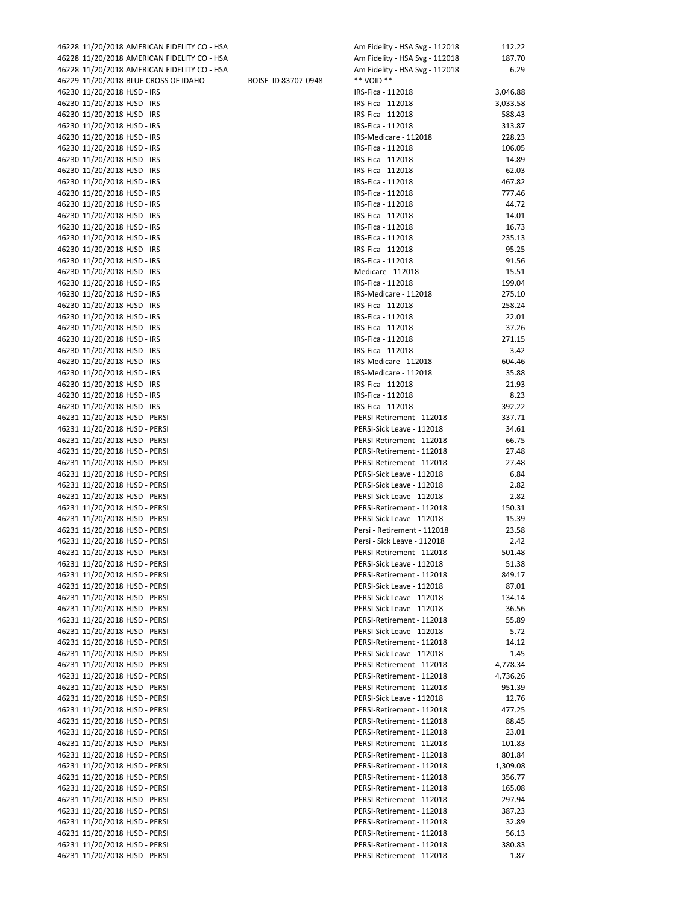| 46228 11/20/2018 AMERICAN FIDELITY CO - HSA |                     | Am Fidelity - HSA Svg - 112018 | 112.22   |
|---------------------------------------------|---------------------|--------------------------------|----------|
| 46228 11/20/2018 AMERICAN FIDELITY CO - HSA |                     | Am Fidelity - HSA Svg - 112018 | 187.70   |
| 46228 11/20/2018 AMERICAN FIDELITY CO - HSA |                     | Am Fidelity - HSA Svg - 112018 | 6.29     |
| 46229 11/20/2018 BLUE CROSS OF IDAHO        | BOISE ID 83707-0948 | ** VOID **                     |          |
| 46230 11/20/2018 HJSD - IRS                 |                     | IRS-Fica - 112018              | 3,046.88 |
| 46230 11/20/2018 HJSD - IRS                 |                     | IRS-Fica - 112018              | 3,033.58 |
| 46230 11/20/2018 HJSD - IRS                 |                     | IRS-Fica - 112018              | 588.43   |
|                                             |                     | IRS-Fica - 112018              | 313.87   |
| 46230 11/20/2018 HJSD - IRS                 |                     |                                |          |
| 46230 11/20/2018 HJSD - IRS                 |                     | IRS-Medicare - 112018          | 228.23   |
| 46230 11/20/2018 HJSD - IRS                 |                     | IRS-Fica - 112018              | 106.05   |
| 46230 11/20/2018 HJSD - IRS                 |                     | IRS-Fica - 112018              | 14.89    |
| 46230 11/20/2018 HJSD - IRS                 |                     | IRS-Fica - 112018              | 62.03    |
| 46230 11/20/2018 HJSD - IRS                 |                     | IRS-Fica - 112018              | 467.82   |
| 46230 11/20/2018 HJSD - IRS                 |                     | IRS-Fica - 112018              | 777.46   |
| 46230 11/20/2018 HJSD - IRS                 |                     | IRS-Fica - 112018              | 44.72    |
| 46230 11/20/2018 HJSD - IRS                 |                     | IRS-Fica - 112018              | 14.01    |
| 46230 11/20/2018 HJSD - IRS                 |                     | IRS-Fica - 112018              | 16.73    |
| 46230 11/20/2018 HJSD - IRS                 |                     | IRS-Fica - 112018              | 235.13   |
| 46230 11/20/2018 HJSD - IRS                 |                     | IRS-Fica - 112018              | 95.25    |
| 46230 11/20/2018 HJSD - IRS                 |                     | IRS-Fica - 112018              | 91.56    |
|                                             |                     |                                |          |
| 46230 11/20/2018 HJSD - IRS                 |                     | Medicare - 112018              | 15.51    |
| 46230 11/20/2018 HJSD - IRS                 |                     | IRS-Fica - 112018              | 199.04   |
| 46230 11/20/2018 HJSD - IRS                 |                     | IRS-Medicare - 112018          | 275.10   |
| 46230 11/20/2018 HJSD - IRS                 |                     | IRS-Fica - 112018              | 258.24   |
| 46230 11/20/2018 HJSD - IRS                 |                     | IRS-Fica - 112018              | 22.01    |
| 46230 11/20/2018 HJSD - IRS                 |                     | IRS-Fica - 112018              | 37.26    |
| 46230 11/20/2018 HJSD - IRS                 |                     | IRS-Fica - 112018              | 271.15   |
| 46230 11/20/2018 HJSD - IRS                 |                     | IRS-Fica - 112018              | 3.42     |
| 46230 11/20/2018 HJSD - IRS                 |                     | IRS-Medicare - 112018          | 604.46   |
| 46230 11/20/2018 HJSD - IRS                 |                     | IRS-Medicare - 112018          | 35.88    |
| 46230 11/20/2018 HJSD - IRS                 |                     | IRS-Fica - 112018              | 21.93    |
| 46230 11/20/2018 HJSD - IRS                 |                     | IRS-Fica - 112018              | 8.23     |
| 46230 11/20/2018 HJSD - IRS                 |                     | IRS-Fica - 112018              | 392.22   |
|                                             |                     |                                |          |
| 46231 11/20/2018 HJSD - PERSI               |                     | PERSI-Retirement - 112018      | 337.71   |
| 46231 11/20/2018 HJSD - PERSI               |                     | PERSI-Sick Leave - 112018      | 34.61    |
| 46231 11/20/2018 HJSD - PERSI               |                     | PERSI-Retirement - 112018      | 66.75    |
| 46231 11/20/2018 HJSD - PERSI               |                     | PERSI-Retirement - 112018      | 27.48    |
| 46231 11/20/2018 HJSD - PERSI               |                     | PERSI-Retirement - 112018      | 27.48    |
| 46231 11/20/2018 HJSD - PERSI               |                     | PERSI-Sick Leave - 112018      | 6.84     |
| 46231 11/20/2018 HJSD - PERSI               |                     | PERSI-Sick Leave - 112018      | 2.82     |
| 46231 11/20/2018 HJSD - PERSI               |                     | PERSI-Sick Leave - 112018      | 2.82     |
| 46231 11/20/2018 HJSD - PERSI               |                     | PERSI-Retirement - 112018      | 150.31   |
| 46231 11/20/2018 HJSD - PERSI               |                     | PERSI-Sick Leave - 112018      | 15.39    |
| 46231 11/20/2018 HJSD - PERSI               |                     | Persi - Retirement - 112018    | 23.58    |
| 46231 11/20/2018 HJSD - PERSI               |                     | Persi - Sick Leave - 112018    | 2.42     |
| 46231 11/20/2018 HJSD - PERSI               |                     | PERSI-Retirement - 112018      | 501.48   |
|                                             |                     |                                |          |
| 46231 11/20/2018 HJSD - PERSI               |                     | PERSI-Sick Leave - 112018      | 51.38    |
| 46231 11/20/2018 HJSD - PERSI               |                     | PERSI-Retirement - 112018      | 849.17   |
| 46231 11/20/2018 HJSD - PERSI               |                     | PERSI-Sick Leave - 112018      | 87.01    |
| 46231 11/20/2018 HJSD - PERSI               |                     | PERSI-Sick Leave - 112018      | 134.14   |
| 46231 11/20/2018 HJSD - PERSI               |                     | PERSI-Sick Leave - 112018      | 36.56    |
| 46231 11/20/2018 HJSD - PERSI               |                     | PERSI-Retirement - 112018      | 55.89    |
| 46231 11/20/2018 HJSD - PERSI               |                     | PERSI-Sick Leave - 112018      | 5.72     |
| 46231 11/20/2018 HJSD - PERSI               |                     | PERSI-Retirement - 112018      | 14.12    |
| 46231 11/20/2018 HJSD - PERSI               |                     | PERSI-Sick Leave - 112018      | 1.45     |
| 46231 11/20/2018 HJSD - PERSI               |                     | PERSI-Retirement - 112018      | 4,778.34 |
| 46231 11/20/2018 HJSD - PERSI               |                     | PERSI-Retirement - 112018      | 4,736.26 |
| 46231 11/20/2018 HJSD - PERSI               |                     | PERSI-Retirement - 112018      | 951.39   |
|                                             |                     |                                |          |
| 46231 11/20/2018 HJSD - PERSI               |                     | PERSI-Sick Leave - 112018      | 12.76    |
| 46231 11/20/2018 HJSD - PERSI               |                     | PERSI-Retirement - 112018      | 477.25   |
| 46231 11/20/2018 HJSD - PERSI               |                     | PERSI-Retirement - 112018      | 88.45    |
| 46231 11/20/2018 HJSD - PERSI               |                     | PERSI-Retirement - 112018      | 23.01    |
| 46231 11/20/2018 HJSD - PERSI               |                     | PERSI-Retirement - 112018      | 101.83   |
| 46231 11/20/2018 HJSD - PERSI               |                     | PERSI-Retirement - 112018      | 801.84   |
| 46231 11/20/2018 HJSD - PERSI               |                     | PERSI-Retirement - 112018      | 1,309.08 |
| 46231 11/20/2018 HJSD - PERSI               |                     | PERSI-Retirement - 112018      | 356.77   |
| 46231 11/20/2018 HJSD - PERSI               |                     | PERSI-Retirement - 112018      | 165.08   |
| 46231 11/20/2018 HJSD - PERSI               |                     | PERSI-Retirement - 112018      | 297.94   |
| 46231 11/20/2018 HJSD - PERSI               |                     | PERSI-Retirement - 112018      | 387.23   |
| 46231 11/20/2018 HJSD - PERSI               |                     | PERSI-Retirement - 112018      | 32.89    |
| 46231 11/20/2018 HJSD - PERSI               |                     |                                |          |
|                                             |                     | PERSI-Retirement - 112018      | 56.13    |
| 46231 11/20/2018 HJSD - PERSI               |                     | PERSI-Retirement - 112018      | 380.83   |
| 46231 11/20/2018 HJSD - PERSI               |                     | PERSI-Retirement - 112018      | 1.87     |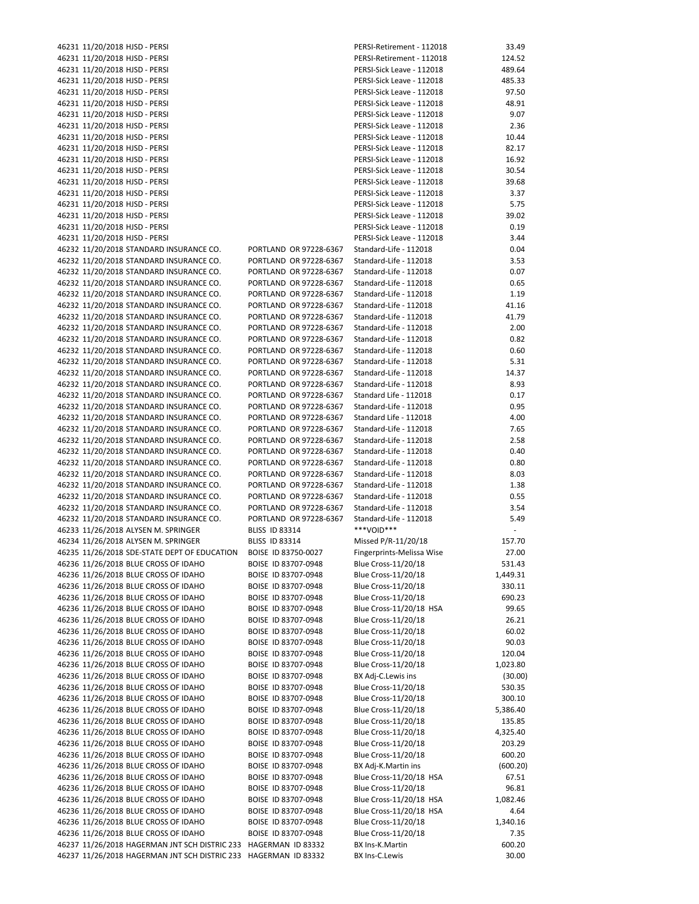| 46231 11/20/2018 HJSD - PERSI                 |                        | PERSI-Retirement - 112018  | 33.49    |
|-----------------------------------------------|------------------------|----------------------------|----------|
| 46231 11/20/2018 HJSD - PERSI                 |                        | PERSI-Retirement - 112018  | 124.52   |
|                                               |                        | PERSI-Sick Leave - 112018  | 489.64   |
| 46231 11/20/2018 HJSD - PERSI                 |                        |                            |          |
| 46231 11/20/2018 HJSD - PERSI                 |                        | PERSI-Sick Leave - 112018  | 485.33   |
| 46231 11/20/2018 HJSD - PERSI                 |                        | PERSI-Sick Leave - 112018  | 97.50    |
|                                               |                        |                            |          |
| 46231 11/20/2018 HJSD - PERSI                 |                        | PERSI-Sick Leave - 112018  | 48.91    |
| 46231 11/20/2018 HJSD - PERSI                 |                        | PERSI-Sick Leave - 112018  | 9.07     |
| 46231 11/20/2018 HJSD - PERSI                 |                        | PERSI-Sick Leave - 112018  | 2.36     |
|                                               |                        |                            |          |
| 46231 11/20/2018 HJSD - PERSI                 |                        | PERSI-Sick Leave - 112018  | 10.44    |
| 46231 11/20/2018 HJSD - PERSI                 |                        | PERSI-Sick Leave - 112018  | 82.17    |
|                                               |                        |                            |          |
| 46231 11/20/2018 HJSD - PERSI                 |                        | PERSI-Sick Leave - 112018  | 16.92    |
| 46231 11/20/2018 HJSD - PERSI                 |                        | PERSI-Sick Leave - 112018  | 30.54    |
| 46231 11/20/2018 HJSD - PERSI                 |                        | PERSI-Sick Leave - 112018  | 39.68    |
|                                               |                        |                            |          |
| 46231 11/20/2018 HJSD - PERSI                 |                        | PERSI-Sick Leave - 112018  | 3.37     |
| 46231 11/20/2018 HJSD - PERSI                 |                        | PERSI-Sick Leave - 112018  | 5.75     |
|                                               |                        |                            |          |
| 46231 11/20/2018 HJSD - PERSI                 |                        | PERSI-Sick Leave - 112018  | 39.02    |
| 46231 11/20/2018 HJSD - PERSI                 |                        | PERSI-Sick Leave - 112018  | 0.19     |
| 46231 11/20/2018 HJSD - PERSI                 |                        | PERSI-Sick Leave - 112018  | 3.44     |
|                                               |                        |                            |          |
| 46232 11/20/2018 STANDARD INSURANCE CO.       | PORTLAND OR 97228-6367 | Standard-Life - 112018     | 0.04     |
| 46232 11/20/2018 STANDARD INSURANCE CO.       | PORTLAND OR 97228-6367 | Standard-Life - 112018     | 3.53     |
|                                               |                        |                            |          |
| 46232 11/20/2018 STANDARD INSURANCE CO.       | PORTLAND OR 97228-6367 | Standard-Life - 112018     | 0.07     |
| 46232 11/20/2018 STANDARD INSURANCE CO.       | PORTLAND OR 97228-6367 | Standard-Life - 112018     | 0.65     |
| 46232 11/20/2018 STANDARD INSURANCE CO.       | PORTLAND OR 97228-6367 | Standard-Life - 112018     | 1.19     |
|                                               |                        |                            |          |
| 46232 11/20/2018 STANDARD INSURANCE CO.       | PORTLAND OR 97228-6367 | Standard-Life - 112018     | 41.16    |
| 46232 11/20/2018 STANDARD INSURANCE CO.       | PORTLAND OR 97228-6367 | Standard-Life - 112018     | 41.79    |
|                                               |                        |                            |          |
| 46232 11/20/2018 STANDARD INSURANCE CO.       | PORTLAND OR 97228-6367 | Standard-Life - 112018     | 2.00     |
| 46232 11/20/2018 STANDARD INSURANCE CO.       | PORTLAND OR 97228-6367 | Standard-Life - 112018     | 0.82     |
| 46232 11/20/2018 STANDARD INSURANCE CO.       | PORTLAND OR 97228-6367 | Standard-Life - 112018     | 0.60     |
|                                               |                        |                            |          |
| 46232 11/20/2018 STANDARD INSURANCE CO.       | PORTLAND OR 97228-6367 | Standard-Life - 112018     | 5.31     |
| 46232 11/20/2018 STANDARD INSURANCE CO.       | PORTLAND OR 97228-6367 | Standard-Life - 112018     | 14.37    |
|                                               |                        |                            |          |
| 46232 11/20/2018 STANDARD INSURANCE CO.       | PORTLAND OR 97228-6367 | Standard-Life - 112018     | 8.93     |
| 46232 11/20/2018 STANDARD INSURANCE CO.       | PORTLAND OR 97228-6367 | Standard Life - 112018     | 0.17     |
| 46232 11/20/2018 STANDARD INSURANCE CO.       | PORTLAND OR 97228-6367 | Standard-Life - 112018     | 0.95     |
|                                               |                        |                            |          |
| 46232 11/20/2018 STANDARD INSURANCE CO.       | PORTLAND OR 97228-6367 | Standard Life - 112018     | 4.00     |
| 46232 11/20/2018 STANDARD INSURANCE CO.       | PORTLAND OR 97228-6367 | Standard-Life - 112018     | 7.65     |
|                                               |                        |                            |          |
| 46232 11/20/2018 STANDARD INSURANCE CO.       | PORTLAND OR 97228-6367 | Standard-Life - 112018     | 2.58     |
| 46232 11/20/2018 STANDARD INSURANCE CO.       | PORTLAND OR 97228-6367 | Standard-Life - 112018     | 0.40     |
| 46232 11/20/2018 STANDARD INSURANCE CO.       | PORTLAND OR 97228-6367 | Standard-Life - 112018     | 0.80     |
|                                               |                        |                            |          |
| 46232 11/20/2018 STANDARD INSURANCE CO.       | PORTLAND OR 97228-6367 | Standard-Life - 112018     | 8.03     |
| 46232 11/20/2018 STANDARD INSURANCE CO.       | PORTLAND OR 97228-6367 | Standard-Life - 112018     | 1.38     |
| 46232 11/20/2018 STANDARD INSURANCE CO.       | PORTLAND OR 97228-6367 | Standard-Life - 112018     |          |
|                                               |                        |                            | 0.55     |
| 46232 11/20/2018 STANDARD INSURANCE CO.       | PORTLAND OR 97228-6367 | Standard-Life - 112018     | 3.54     |
| 46232 11/20/2018 STANDARD INSURANCE CO.       | PORTLAND OR 97228-6367 | Standard-Life - 112018     | 5.49     |
|                                               |                        |                            |          |
| 46233 11/26/2018 ALYSEN M. SPRINGER           | <b>BLISS ID 83314</b>  | ***VOID***                 |          |
| 46234 11/26/2018 ALYSEN M. SPRINGER           | <b>BLISS ID 83314</b>  | Missed P/R-11/20/18        | 157.70   |
|                                               |                        | Fingerprints-Melissa Wise  |          |
| 46235 11/26/2018 SDE-STATE DEPT OF EDUCATION  | BOISE ID 83750-0027    |                            | 27.00    |
| 46236 11/26/2018 BLUE CROSS OF IDAHO          | BOISE ID 83707-0948    | Blue Cross-11/20/18        | 531.43   |
| 46236 11/26/2018 BLUE CROSS OF IDAHO          | BOISE ID 83707-0948    | Blue Cross-11/20/18        | 1,449.31 |
|                                               |                        |                            |          |
| 46236 11/26/2018 BLUE CROSS OF IDAHO          | BOISE ID 83707-0948    | Blue Cross-11/20/18        | 330.11   |
| 46236 11/26/2018 BLUE CROSS OF IDAHO          | BOISE ID 83707-0948    | <b>Blue Cross-11/20/18</b> | 690.23   |
| 46236 11/26/2018 BLUE CROSS OF IDAHO          | BOISE ID 83707-0948    | Blue Cross-11/20/18 HSA    | 99.65    |
|                                               |                        |                            |          |
| 46236 11/26/2018 BLUE CROSS OF IDAHO          | BOISE ID 83707-0948    | <b>Blue Cross-11/20/18</b> | 26.21    |
| 46236 11/26/2018 BLUE CROSS OF IDAHO          | BOISE ID 83707-0948    | Blue Cross-11/20/18        | 60.02    |
|                                               |                        |                            |          |
| 46236 11/26/2018 BLUE CROSS OF IDAHO          | BOISE ID 83707-0948    | Blue Cross-11/20/18        | 90.03    |
| 46236 11/26/2018 BLUE CROSS OF IDAHO          | BOISE ID 83707-0948    | Blue Cross-11/20/18        | 120.04   |
| 46236 11/26/2018 BLUE CROSS OF IDAHO          | BOISE ID 83707-0948    | Blue Cross-11/20/18        |          |
|                                               |                        |                            | 1,023.80 |
| 46236 11/26/2018 BLUE CROSS OF IDAHO          | BOISE ID 83707-0948    | BX Adj-C.Lewis ins         | (30.00)  |
| 46236 11/26/2018 BLUE CROSS OF IDAHO          | BOISE ID 83707-0948    | Blue Cross-11/20/18        | 530.35   |
|                                               |                        |                            |          |
| 46236 11/26/2018 BLUE CROSS OF IDAHO          | BOISE ID 83707-0948    | Blue Cross-11/20/18        | 300.10   |
| 46236 11/26/2018 BLUE CROSS OF IDAHO          | BOISE ID 83707-0948    | Blue Cross-11/20/18        | 5,386.40 |
| 46236 11/26/2018 BLUE CROSS OF IDAHO          | BOISE ID 83707-0948    | Blue Cross-11/20/18        | 135.85   |
|                                               |                        |                            |          |
| 46236 11/26/2018 BLUE CROSS OF IDAHO          | BOISE ID 83707-0948    | Blue Cross-11/20/18        | 4,325.40 |
| 46236 11/26/2018 BLUE CROSS OF IDAHO          | BOISE ID 83707-0948    | Blue Cross-11/20/18        | 203.29   |
|                                               |                        |                            |          |
| 46236 11/26/2018 BLUE CROSS OF IDAHO          | BOISE ID 83707-0948    | Blue Cross-11/20/18        | 600.20   |
| 46236 11/26/2018 BLUE CROSS OF IDAHO          | BOISE ID 83707-0948    | BX Adj-K.Martin ins        | (600.20) |
| 46236 11/26/2018 BLUE CROSS OF IDAHO          | BOISE ID 83707-0948    | Blue Cross-11/20/18 HSA    | 67.51    |
|                                               |                        |                            |          |
| 46236 11/26/2018 BLUE CROSS OF IDAHO          | BOISE ID 83707-0948    | <b>Blue Cross-11/20/18</b> | 96.81    |
| 46236 11/26/2018 BLUE CROSS OF IDAHO          | BOISE ID 83707-0948    | Blue Cross-11/20/18 HSA    | 1,082.46 |
|                                               |                        |                            |          |
| 46236 11/26/2018 BLUE CROSS OF IDAHO          | BOISE ID 83707-0948    | Blue Cross-11/20/18 HSA    | 4.64     |
| 46236 11/26/2018 BLUE CROSS OF IDAHO          | BOISE ID 83707-0948    | Blue Cross-11/20/18        | 1,340.16 |
|                                               |                        |                            |          |
|                                               |                        |                            |          |
| 46236 11/26/2018 BLUE CROSS OF IDAHO          | BOISE ID 83707-0948    | Blue Cross-11/20/18        | 7.35     |
| 46237 11/26/2018 HAGERMAN JNT SCH DISTRIC 233 | HAGERMAN ID 83332      | BX Ins-K.Martin            | 600.20   |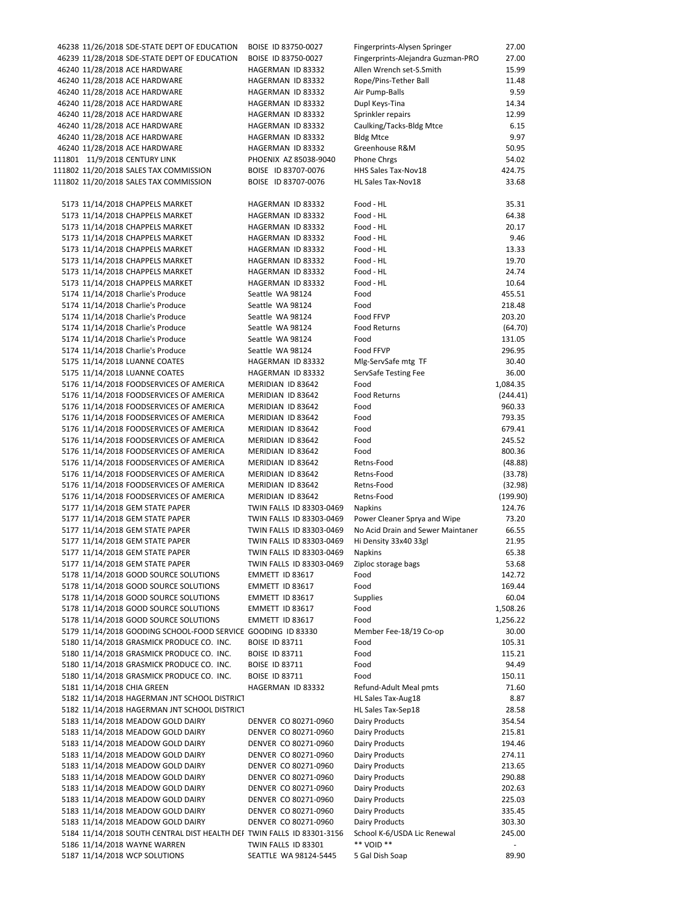| 46238 11/26/2018 SDE-STATE DEPT OF EDUCATION                           | BOISE ID 83750-0027      | Fingerprints-Alysen Springer      | 27.00    |
|------------------------------------------------------------------------|--------------------------|-----------------------------------|----------|
| 46239 11/28/2018 SDE-STATE DEPT OF EDUCATION                           | BOISE ID 83750-0027      | Fingerprints-Alejandra Guzman-PRO | 27.00    |
| 46240 11/28/2018 ACE HARDWARE                                          | HAGERMAN ID 83332        | Allen Wrench set-S.Smith          | 15.99    |
| 46240 11/28/2018 ACE HARDWARE                                          | HAGERMAN ID 83332        | Rope/Pins-Tether Ball             | 11.48    |
| 46240 11/28/2018 ACE HARDWARE                                          | HAGERMAN ID 83332        | Air Pump-Balls                    | 9.59     |
|                                                                        |                          |                                   |          |
| 46240 11/28/2018 ACE HARDWARE                                          | HAGERMAN ID 83332        | Dupl Keys-Tina                    | 14.34    |
| 46240 11/28/2018 ACE HARDWARE                                          | HAGERMAN ID 83332        | Sprinkler repairs                 | 12.99    |
| 46240 11/28/2018 ACE HARDWARE                                          | HAGERMAN ID 83332        | Caulking/Tacks-Bldg Mtce          | 6.15     |
| 46240 11/28/2018 ACE HARDWARE                                          | HAGERMAN ID 83332        | <b>Bldg Mtce</b>                  | 9.97     |
| 46240 11/28/2018 ACE HARDWARE                                          | HAGERMAN ID 83332        | Greenhouse R&M                    | 50.95    |
| 111801 11/9/2018 CENTURY LINK                                          | PHOENIX AZ 85038-9040    | Phone Chrgs                       | 54.02    |
| 111802 11/20/2018 SALES TAX COMMISSION                                 | BOISE ID 83707-0076      | HHS Sales Tax-Nov18               | 424.75   |
| 111802 11/20/2018 SALES TAX COMMISSION                                 | BOISE ID 83707-0076      | HL Sales Tax-Nov18                | 33.68    |
|                                                                        |                          |                                   |          |
|                                                                        |                          |                                   |          |
| 5173 11/14/2018 CHAPPELS MARKET                                        | HAGERMAN ID 83332        | Food - HL                         | 35.31    |
| 5173 11/14/2018 CHAPPELS MARKET                                        | HAGERMAN ID 83332        | Food - HL                         | 64.38    |
| 5173 11/14/2018 CHAPPELS MARKET                                        | HAGERMAN ID 83332        | Food - HL                         | 20.17    |
| 5173 11/14/2018 CHAPPELS MARKET                                        | HAGERMAN ID 83332        | Food - HL                         | 9.46     |
| 5173 11/14/2018 CHAPPELS MARKET                                        | HAGERMAN ID 83332        | Food - HL                         | 13.33    |
| 5173 11/14/2018 CHAPPELS MARKET                                        | HAGERMAN ID 83332        | Food - HL                         | 19.70    |
| 5173 11/14/2018 CHAPPELS MARKET                                        | HAGERMAN ID 83332        | Food - HL                         | 24.74    |
| 5173 11/14/2018 CHAPPELS MARKET                                        | HAGERMAN ID 83332        | Food - HL                         | 10.64    |
| 5174 11/14/2018 Charlie's Produce                                      | Seattle WA 98124         | Food                              | 455.51   |
|                                                                        |                          |                                   |          |
| 5174 11/14/2018 Charlie's Produce                                      | Seattle WA 98124         | Food                              | 218.48   |
| 5174 11/14/2018 Charlie's Produce                                      | Seattle WA 98124         | Food FFVP                         | 203.20   |
| 5174 11/14/2018 Charlie's Produce                                      | Seattle WA 98124         | <b>Food Returns</b>               | (64.70)  |
| 5174 11/14/2018 Charlie's Produce                                      | Seattle WA 98124         | Food                              | 131.05   |
| 5174 11/14/2018 Charlie's Produce                                      | Seattle WA 98124         | Food FFVP                         | 296.95   |
| 5175 11/14/2018 LUANNE COATES                                          | HAGERMAN ID 83332        | Mlg-ServSafe mtg TF               | 30.40    |
| 5175 11/14/2018 LUANNE COATES                                          | HAGERMAN ID 83332        | ServSafe Testing Fee              | 36.00    |
| 5176 11/14/2018 FOODSERVICES OF AMERICA                                | MERIDIAN ID 83642        | Food                              | 1,084.35 |
|                                                                        |                          | <b>Food Returns</b>               |          |
| 5176 11/14/2018 FOODSERVICES OF AMERICA                                | MERIDIAN ID 83642        |                                   | (244.41) |
| 5176 11/14/2018 FOODSERVICES OF AMERICA                                | MERIDIAN ID 83642        | Food                              | 960.33   |
| 5176 11/14/2018 FOODSERVICES OF AMERICA                                | MERIDIAN ID 83642        | Food                              | 793.35   |
| 5176 11/14/2018 FOODSERVICES OF AMERICA                                | MERIDIAN ID 83642        | Food                              | 679.41   |
| 5176 11/14/2018 FOODSERVICES OF AMERICA                                | MERIDIAN ID 83642        | Food                              | 245.52   |
| 5176 11/14/2018 FOODSERVICES OF AMERICA                                | MERIDIAN ID 83642        | Food                              | 800.36   |
| 5176 11/14/2018 FOODSERVICES OF AMERICA                                | MERIDIAN ID 83642        | Retns-Food                        | (48.88)  |
| 5176 11/14/2018 FOODSERVICES OF AMERICA                                | MERIDIAN ID 83642        | Retns-Food                        | (33.78)  |
| 5176 11/14/2018 FOODSERVICES OF AMERICA                                | MERIDIAN ID 83642        | Retns-Food                        | (32.98)  |
| 5176 11/14/2018 FOODSERVICES OF AMERICA                                | MERIDIAN ID 83642        | Retns-Food                        | (199.90) |
|                                                                        |                          |                                   |          |
| 5177 11/14/2018 GEM STATE PAPER                                        | TWIN FALLS ID 83303-0469 | <b>Napkins</b>                    | 124.76   |
| 5177 11/14/2018 GEM STATE PAPER                                        | TWIN FALLS ID 83303-0469 | Power Cleaner Sprya and Wipe      | 73.20    |
| 5177 11/14/2018 GEM STATE PAPER                                        | TWIN FALLS ID 83303-0469 | No Acid Drain and Sewer Maintaner | 66.55    |
| 5177 11/14/2018 GEM STATE PAPER                                        | TWIN FALLS ID 83303-0469 | Hi Density 33x40 33gl             | 21.95    |
| 5177 11/14/2018 GEM STATE PAPER                                        | TWIN FALLS ID 83303-0469 | Napkins                           | 65.38    |
| 5177 11/14/2018 GEM STATE PAPER                                        | TWIN FALLS ID 83303-0469 | Ziploc storage bags               | 53.68    |
| 5178 11/14/2018 GOOD SOURCE SOLUTIONS                                  | EMMETT ID 83617          | Food                              | 142.72   |
| 5178 11/14/2018 GOOD SOURCE SOLUTIONS                                  | EMMETT ID 83617          | Food                              | 169.44   |
| 5178 11/14/2018 GOOD SOURCE SOLUTIONS                                  | EMMETT ID 83617          | <b>Supplies</b>                   | 60.04    |
| 5178 11/14/2018 GOOD SOURCE SOLUTIONS                                  | EMMETT ID 83617          | Food                              | 1,508.26 |
| 5178 11/14/2018 GOOD SOURCE SOLUTIONS                                  |                          | Food                              |          |
|                                                                        | EMMETT ID 83617          |                                   | 1,256.22 |
| 5179 11/14/2018 GOODING SCHOOL-FOOD SERVICE GOODING ID 83330           |                          | Member Fee-18/19 Co-op            | 30.00    |
| 5180 11/14/2018 GRASMICK PRODUCE CO. INC.                              | <b>BOISE ID 83711</b>    | Food                              | 105.31   |
| 5180 11/14/2018 GRASMICK PRODUCE CO. INC.                              | BOISE ID 83711           | Food                              | 115.21   |
| 5180 11/14/2018 GRASMICK PRODUCE CO. INC.                              | <b>BOISE ID 83711</b>    | Food                              | 94.49    |
| 5180 11/14/2018 GRASMICK PRODUCE CO. INC.                              | <b>BOISE ID 83711</b>    | Food                              | 150.11   |
| 5181 11/14/2018 CHIA GREEN                                             | HAGERMAN ID 83332        | Refund-Adult Meal pmts            | 71.60    |
| 5182 11/14/2018 HAGERMAN JNT SCHOOL DISTRICT                           |                          | HL Sales Tax-Aug18                | 8.87     |
| 5182 11/14/2018 HAGERMAN JNT SCHOOL DISTRICT                           |                          | HL Sales Tax-Sep18                | 28.58    |
| 5183 11/14/2018 MEADOW GOLD DAIRY                                      | DENVER CO 80271-0960     | Dairy Products                    | 354.54   |
|                                                                        |                          |                                   |          |
| 5183 11/14/2018 MEADOW GOLD DAIRY                                      | DENVER CO 80271-0960     | Dairy Products                    | 215.81   |
| 5183 11/14/2018 MEADOW GOLD DAIRY                                      | DENVER CO 80271-0960     | Dairy Products                    | 194.46   |
| 5183 11/14/2018 MEADOW GOLD DAIRY                                      | DENVER CO 80271-0960     | Dairy Products                    | 274.11   |
| 5183 11/14/2018 MEADOW GOLD DAIRY                                      | DENVER CO 80271-0960     | Dairy Products                    | 213.65   |
| 5183 11/14/2018 MEADOW GOLD DAIRY                                      | DENVER CO 80271-0960     | Dairy Products                    | 290.88   |
| 5183 11/14/2018 MEADOW GOLD DAIRY                                      | DENVER CO 80271-0960     | Dairy Products                    | 202.63   |
| 5183 11/14/2018 MEADOW GOLD DAIRY                                      | DENVER CO 80271-0960     | Dairy Products                    | 225.03   |
| 5183 11/14/2018 MEADOW GOLD DAIRY                                      | DENVER CO 80271-0960     | Dairy Products                    | 335.45   |
| 5183 11/14/2018 MEADOW GOLD DAIRY                                      | DENVER CO 80271-0960     | Dairy Products                    | 303.30   |
| 5184 11/14/2018 SOUTH CENTRAL DIST HEALTH DEI TWIN FALLS ID 83301-3156 |                          | School K-6/USDA Lic Renewal       | 245.00   |
| 5186 11/14/2018 WAYNE WARREN                                           | TWIN FALLS ID 83301      | ** VOID **                        |          |
|                                                                        |                          |                                   |          |
| 5187 11/14/2018 WCP SOLUTIONS                                          | SEATTLE WA 98124-5445    | 5 Gal Dish Soap                   | 89.90    |